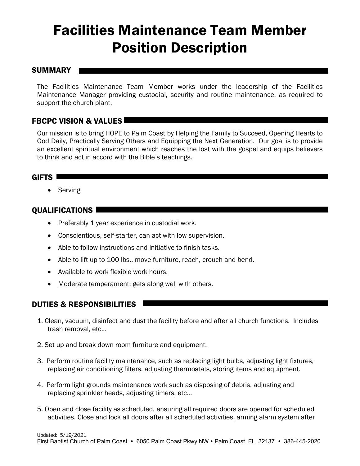# Facilities Maintenance Team Member Position Description

#### SUMMARY

The Facilities Maintenance Team Member works under the leadership of the Facilities Maintenance Manager providing custodial, security and routine maintenance, as required to support the church plant.

## FBCPC VISION & VALUES

Our mission is to bring HOPE to Palm Coast by Helping the Family to Succeed, Opening Hearts to God Daily, Practically Serving Others and Equipping the Next Generation. Our goal is to provide an excellent spiritual environment which reaches the lost with the gospel and equips believers to think and act in accord with the Bible's teachings.

### GIFTS **Letter**

• Serving

### **OUALIFICATIONS**

- Preferably 1 year experience in custodial work.
- Conscientious, self-starter, can act with low supervision.
- Able to follow instructions and initiative to finish tasks.
- Able to lift up to 100 lbs., move furniture, reach, crouch and bend.
- Available to work flexible work hours.
- Moderate temperament; gets along well with others.

## DUTIES & RESPONSIBILITIES

- 1. Clean, vacuum, disinfect and dust the facility before and after all church functions. Includes trash removal, etc...
- 2. Set up and break down room furniture and equipment.
- 3. Perform routine facility maintenance, such as replacing light bulbs, adjusting light fixtures, replacing air conditioning filters, adjusting thermostats, storing items and equipment.
- 4. Perform light grounds maintenance work such as disposing of debris, adjusting and replacing sprinkler heads, adjusting timers, etc…
- 5. Open and close facility as scheduled, ensuring all required doors are opened for scheduled activities. Close and lock all doors after all scheduled activities, arming alarm system after